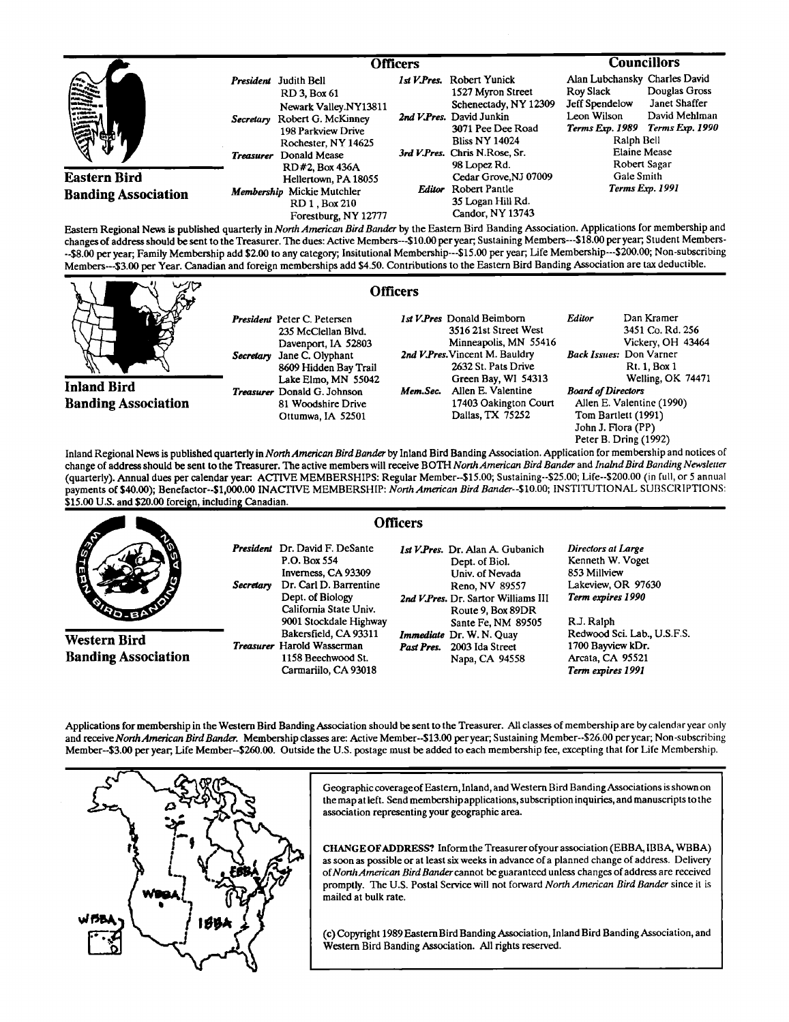|                                                                                                                                                                                                                                                                                                                                                                                                                                           |                               | <b>Officers</b>                                                                                                                                   |  |                                                                                                                                                                                    | <b>Councillors</b>                                                                                                                                                                                        |                                 |
|-------------------------------------------------------------------------------------------------------------------------------------------------------------------------------------------------------------------------------------------------------------------------------------------------------------------------------------------------------------------------------------------------------------------------------------------|-------------------------------|---------------------------------------------------------------------------------------------------------------------------------------------------|--|------------------------------------------------------------------------------------------------------------------------------------------------------------------------------------|-----------------------------------------------------------------------------------------------------------------------------------------------------------------------------------------------------------|---------------------------------|
| 震災<br>سندمده<br>a washin m                                                                                                                                                                                                                                                                                                                                                                                                                | Secretary<br><b>Treasurer</b> | President Judith Bell<br>RD 3. Box 61<br>Newark Valley.NY13811<br>Robert G. McKinney<br>198 Parkview Drive<br>Rochester, NY 14625<br>Donald Mease |  | 1st V.Pres. Robert Yunick<br>1527 Myron Street<br>Schenectady, NY 12309<br>2nd V.Pres. David Junkin<br>3071 Pee Dee Road<br><b>Bliss NY 14024</b><br>3rd V.Pres. Chris N.Rose, Sr. | Alan Lubchansky Charles David<br>Douglas Gross<br><b>Roy Slack</b><br>Janet Shaffer<br>Jeff Spendelow<br>David Mehlman<br>Leon Wilson<br>Terms Exp. 1990<br>Terms Exp. 1989<br>Ralph Bell<br>Elaine Mease |                                 |
| <b>Eastern Bird</b><br><b>Banding Association</b><br>$\overline{p}$ $\overline{p}$ $\overline{p}$ $\overline{p}$ $\overline{p}$ $\overline{p}$ $\overline{p}$ $\overline{p}$ $\overline{p}$ $\overline{p}$ $\overline{p}$ $\overline{p}$ $\overline{p}$ $\overline{p}$ $\overline{p}$ $\overline{p}$ $\overline{p}$ $\overline{p}$ $\overline{p}$ $\overline{p}$ $\overline{p}$ $\overline{p}$ $\overline{p}$ $\overline{p}$ $\overline{$ |                               | RD#2. Box 436A<br>Hellertown, PA 18055<br>Membership Mickie Mutchler<br>RD 1. Box 210<br>Forestburg, NY 12777                                     |  | 98 Lopez Rd.<br>Cedar Grove, NJ 07009<br><b>Editor</b> Robert Pantle<br>35 Logan Hill Rd.<br>Candor, NY 13743                                                                      | Gale Smith                                                                                                                                                                                                | Robert Sagar<br>Terms Exp. 1991 |

**Eastern Regional News is published quarterly in North American Bird Bander by the Eastern Bird Banding Association. Applications for membership and** changes of address should be sent to the Treasurer. The dues: Active Members---\$10.00 per year; Sustaining Members---\$18.00 per year; Student Members-**--\$8.00 per year, Family Membership add \$2.00 to any category; Insitutional Membership---S15.00 per year; Life Membership---S200.00; Non-subscribing**  Members---\$3.00 per Year. Canadian and foreign memberships add \$4.50. Contributions to the Eastern Bird Banding Association are tax deductible.

**Officers** 



**Inland Bird Banding Association** 

**President Peter C. Petersen 235 McClellan Blvd. Davenport, IA 52803 Secretary Jane C. Olyphant 8609 Hidden Bay Trail Lake Elmo, MN 55042 Treasurer Donald G. Johnson 81 Woodshire Drive Ottumwa, IA 52501** 

**1st V. Pres Donald Bcimborn 3516 21st Street West Minneapolis, MN 55416**  2nd V.Pres. Vincent M. Bauldry **2632 St. Pats Drive** 

**Green Bay, WI 54313**  Mem.Sec. Allen E. Valentine **17403 Oakington Court Dallas, TX 75252** 

**3451 Co. Rd. 256 Vicke•, OH 43464 BackIssues: Don Varner Rt. 1, Box 1 Welling, OK 74471 Board of Directors Allen E. Valentine (1990) Tom Bartlett (1991) John J. Flora (PP) Peter B. Dring (1992)** 

**Editor Dan Kramer** 

Inland Regional News is published quarterly in *North American Bird Bander* by Inland Bird Banding Association. Application for membership and notices of change of address should be sent to the Treasurer. The active members will receive BOTH North American Bird Bander and Inalnd Bird Banding Newsletter **(quarterly). Annual dues per calendar year. ACTIVE MEMBERSHIPS: Regular Member--S15.00; Sustaining--S25.00; Life--S200.00 (in full, or 5 annual payments of\$40.00); Benefactor--S1,000.00 INACTIVE MEMBERSHIP: North American Bird Bander--S10.00; INSTITUTIONAL SUBSCRIPTIONS:**  \$15.00 U.S. and \$20.00 foreign, including Canadian.

|                                                   | <b>Officers</b>                                                                                                                                                   |                                                                                                                                                            |                                                                                                         |
|---------------------------------------------------|-------------------------------------------------------------------------------------------------------------------------------------------------------------------|------------------------------------------------------------------------------------------------------------------------------------------------------------|---------------------------------------------------------------------------------------------------------|
| <b>AND</b><br><b>No.BA</b>                        | <b>President</b> Dr. David F. DeSante<br>P.O. Box 554<br>Inverness, CA 93309<br>Dr. Carl D. Barrentine<br>Secretary<br>Dept. of Biology<br>California State Univ. | <i>Ist V.Pres.</i> Dr. Alan A. Gubanich<br>Dept. of Biol.<br>Univ. of Nevada<br>Reno, NV 89557<br>2nd V.Pres. Dr. Sartor Williams III<br>Route 9, Box 89DR | Directors at Large<br>Kenneth W. Voget<br>853 Millview<br>Lakeview, OR 97630<br>Term expires 1990       |
| <b>Western Bird</b><br><b>Banding Association</b> | 9001 Stockdale Highway<br>Bakersfield, CA 93311<br><b>Treasurer</b> Harold Wasserman<br>1158 Beechwood St.<br>Carmariilo, CA 93018                                | Sante Fe, NM 89505<br>Immediate Dr. W. N. Quay<br>2003 Ida Street<br>Past Pres.<br>Napa, CA 94558                                                          | R.J. Raiph<br>Redwood Sci. Lab., U.S.F.S.<br>1700 Bayview kDr.<br>Arcata, CA 95521<br>Term expires 1991 |

Applications for membership in the Western Bird Banding Association should be sent to the Treasurer. All classes of membership are by calendar year only **and receive North American BirdBander. Membership classes are: Active Member--S13.00 peryear; Sustaining Member--S26.00 per year; Non-subscribing Member--S3.00 per year, Life Member--S260.00. Outside the U.S. postage must be added to each membership fee, excepting that for Life Membership.** 



**Geographic coverageof Eastern, Inland, and Western Bird BandingAssociations is shown on the map at left. Send membership aplications, subscription inquiries, and manuscripts to the association representing your geographic area.** 

**CHANGE OFADDRESS? Inform the Treasurer ofyour association (EBBA, IBBA, WBBA)**  as soon as possible or at least six weeks in advance of a planned change of address. Delivery of North American Bird Bander cannot be guaranteed unless changes of address are received promptly. The U.S. Postal Service will not forward North American Bird Bander since it is **mailed at bulk rate.** 

**(c) Copyright 1989 Eastern Bird Banding Association, Inland Bird Banding Association, and Western Bird Banding Association. All rights reserved.**